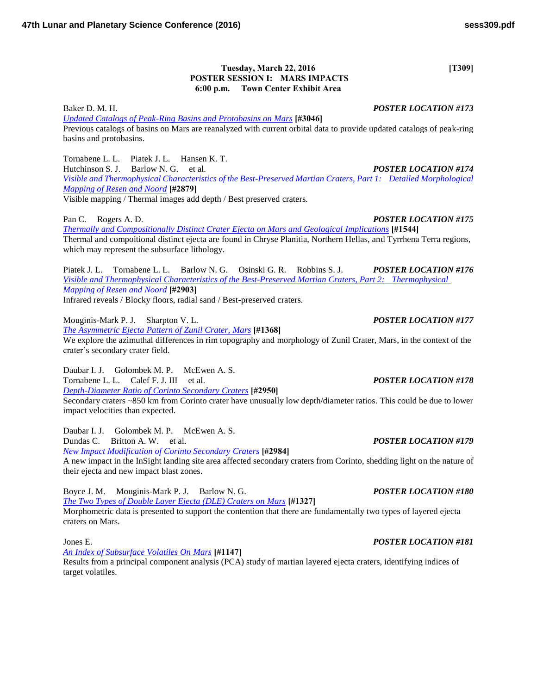### **Tuesday, March 22, 2016** [T309] **POSTER SESSION I: MARS IMPACTS 6:00 p.m. Town Center Exhibit Area**

Baker D. M. H. *POSTER LOCATION #173 [Updated Catalogs of Peak-Ring Basins and Protobasins on Mars](http://www.hou.usra.edu/meetings/lpsc2016/pdf/3046.pdf)* **[#3046]** Previous catalogs of basins on Mars are reanalyzed with current orbital data to provide updated catalogs of peak-ring basins and protobasins.

Tornabene L. L. Piatek J. L. Hansen K. T. Hutchinson S. J. Barlow N. G. et al. *POSTER LOCATION #174 [Visible and Thermophysical Characteristics of the Best-Preserved Martian Craters, Part 1: Detailed Morphological](http://www.hou.usra.edu/meetings/lpsc2016/pdf/2879.pdf)  [Mapping of Resen and Noord](http://www.hou.usra.edu/meetings/lpsc2016/pdf/2879.pdf)* **[#2879]** Visible mapping / Thermal images add depth / Best preserved craters.

Pan C. Rogers A. D. *POSTER LOCATION #175 [Thermally and Compositionally Distinct Crater Ejecta on Mars and Geological Implications](http://www.hou.usra.edu/meetings/lpsc2016/pdf/1544.pdf)* **[#1544]** Thermal and compoitional distinct ejecta are found in Chryse Planitia, Northern Hellas, and Tyrrhena Terra regions, which may represent the subsurface lithology.

Piatek J. L. Tornabene L. L. Barlow N. G. Osinski G. R. Robbins S. J. *POSTER LOCATION #176 [Visible and Thermophysical Characteristics of the Best-Preserved Martian Craters, Part 2: Thermophysical](http://www.hou.usra.edu/meetings/lpsc2016/pdf/2903.pdf)  [Mapping of Resen and Noord](http://www.hou.usra.edu/meetings/lpsc2016/pdf/2903.pdf)* **[#2903]** Infrared reveals / Blocky floors, radial sand / Best-preserved craters.

Mouginis-Mark P. J. Sharpton V. L. *POSTER LOCATION #177 [The Asymmetric Ejecta Pattern of Zunil Crater, Mars](http://www.hou.usra.edu/meetings/lpsc2016/pdf/1368.pdf)* **[#1368]** We explore the azimuthal differences in rim topography and morphology of Zunil Crater, Mars, in the context of the crater's secondary crater field.

Daubar I. J. Golombek M. P. McEwen A. S. Tornabene L. L. Calef F. J. III et al. *POSTER LOCATION #178 [Depth-Diameter Ratio of Corinto Secondary Craters](http://www.hou.usra.edu/meetings/lpsc2016/pdf/2950.pdf)* **[#2950]** Secondary craters ~850 km from Corinto crater have unusually low depth/diameter ratios. This could be due to lower impact velocities than expected.

Daubar I. J. Golombek M. P. McEwen A. S. Dundas C. Britton A. W. et al. *POSTER LOCATION #179 [New Impact Modification of Corinto Secondary Craters](http://www.hou.usra.edu/meetings/lpsc2016/pdf/2984.pdf)* **[#2984]**

A new impact in the InSight landing site area affected secondary craters from Corinto, shedding light on the nature of their ejecta and new impact blast zones.

Boyce J. M. Mouginis-Mark P. J. Barlow N. G. *POSTER LOCATION #180 [The Two Types of Double Layer Ejecta \(DLE\) Craters on Mars](http://www.hou.usra.edu/meetings/lpsc2016/pdf/1327.pdf)* **[#1327]** Morphometric data is presented to support the contention that there are fundamentally two types of layered ejecta craters on Mars.

*[An Index of Subsurface Volatiles On Mars](http://www.hou.usra.edu/meetings/lpsc2016/pdf/1147.pdf)* **[#1147]**

Results from a principal component analysis (PCA) study of martian layered ejecta craters, identifying indices of target volatiles.

## Jones E. *POSTER LOCATION #181*